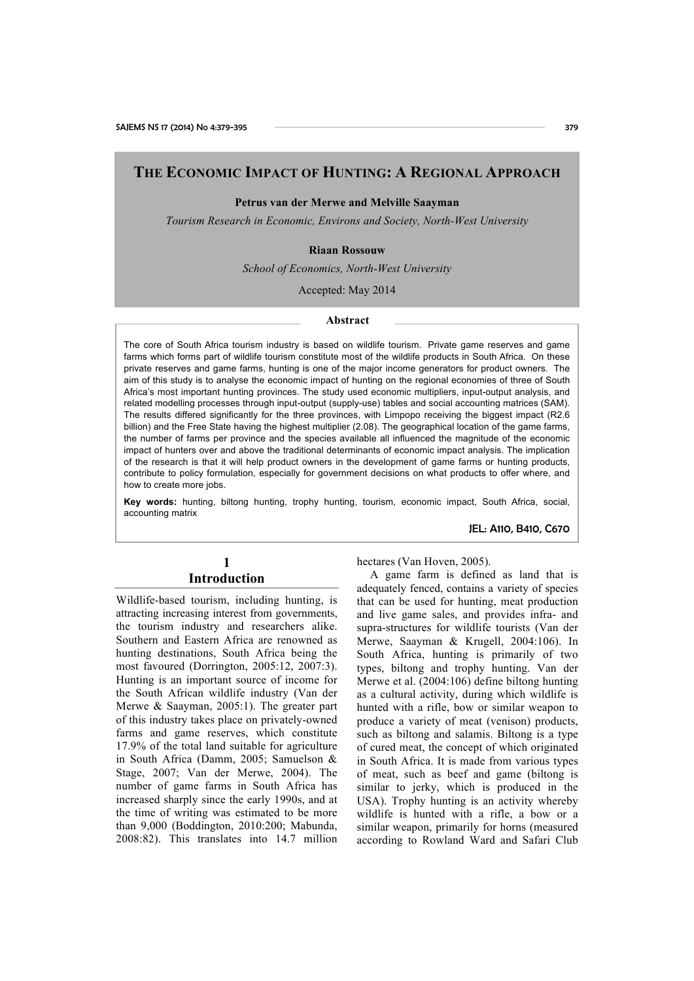# **THE ECONOMIC IMPACT OF HUNTING: A REGIONAL APPROACH**

**Petrus van der Merwe and Melville Saayman**

*Tourism Research in Economic, Environs and Society, North-West University*

#### **Riaan Rossouw**

*School of Economics, North-West University*

Accepted: May 2014

#### **Abstract**

The core of South Africa tourism industry is based on wildlife tourism. Private game reserves and game farms which forms part of wildlife tourism constitute most of the wildlife products in South Africa. On these private reserves and game farms, hunting is one of the major income generators for product owners. The aim of this study is to analyse the economic impact of hunting on the regional economies of three of South Africa's most important hunting provinces. The study used economic multipliers, input-output analysis, and related modelling processes through input-output (supply-use) tables and social accounting matrices (SAM). The results differed significantly for the three provinces, with Limpopo receiving the biggest impact (R2.6 billion) and the Free State having the highest multiplier (2.08). The geographical location of the game farms, the number of farms per province and the species available all influenced the magnitude of the economic impact of hunters over and above the traditional determinants of economic impact analysis. The implication of the research is that it will help product owners in the development of game farms or hunting products, contribute to policy formulation, especially for government decisions on what products to offer where, and how to create more jobs.

**Key words:** hunting, biltong hunting, trophy hunting, tourism, economic impact, South Africa, social, accounting matrix

JEL: A110, B410, C670

# **1 Introduction**

Wildlife-based tourism, including hunting, is attracting increasing interest from governments, the tourism industry and researchers alike. Southern and Eastern Africa are renowned as hunting destinations, South Africa being the most favoured (Dorrington, 2005:12, 2007:3). Hunting is an important source of income for the South African wildlife industry (Van der Merwe & Saayman, 2005:1). The greater part of this industry takes place on privately-owned farms and game reserves, which constitute 17.9% of the total land suitable for agriculture in South Africa (Damm, 2005; Samuelson & Stage, 2007; Van der Merwe, 2004). The number of game farms in South Africa has increased sharply since the early 1990s, and at the time of writing was estimated to be more than 9,000 (Boddington, 2010:200; Mabunda, 2008:82). This translates into 14.7 million hectares (Van Hoven, 2005).

A game farm is defined as land that is adequately fenced, contains a variety of species that can be used for hunting, meat production and live game sales, and provides infra- and supra-structures for wildlife tourists (Van der Merwe, Saayman & Krugell, 2004:106). In South Africa, hunting is primarily of two types, biltong and trophy hunting. Van der Merwe et al. (2004:106) define biltong hunting as a cultural activity, during which wildlife is hunted with a rifle, bow or similar weapon to produce a variety of meat (venison) products, such as biltong and salamis. Biltong is a type of cured meat, the concept of which originated in South Africa. It is made from various types of meat, such as beef and game (biltong is similar to jerky, which is produced in the USA). Trophy hunting is an activity whereby wildlife is hunted with a rifle, a bow or a similar weapon, primarily for horns (measured according to Rowland Ward and Safari Club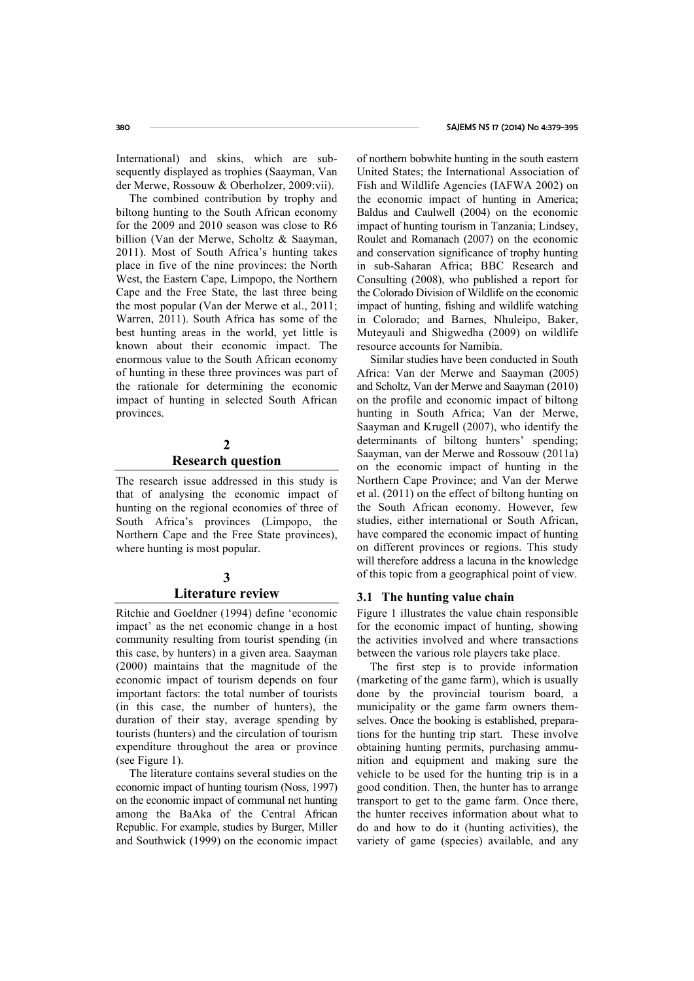International) and skins, which are subsequently displayed as trophies (Saayman, Van der Merwe, Rossouw & Oberholzer, 2009:vii).

The combined contribution by trophy and biltong hunting to the South African economy for the 2009 and 2010 season was close to R6 billion (Van der Merwe, Scholtz & Saayman, 2011). Most of South Africa's hunting takes place in five of the nine provinces: the North West, the Eastern Cape, Limpopo, the Northern Cape and the Free State, the last three being the most popular (Van der Merwe et al., 2011; Warren, 2011). South Africa has some of the best hunting areas in the world, yet little is known about their economic impact. The enormous value to the South African economy of hunting in these three provinces was part of the rationale for determining the economic impact of hunting in selected South African provinces.

### **2**

## **Research question**

The research issue addressed in this study is that of analysing the economic impact of hunting on the regional economies of three of South Africa's provinces (Limpopo, the Northern Cape and the Free State provinces), where hunting is most popular.

## **3**

### **Literature review**

Ritchie and Goeldner (1994) define 'economic impact' as the net economic change in a host community resulting from tourist spending (in this case, by hunters) in a given area. Saayman (2000) maintains that the magnitude of the economic impact of tourism depends on four important factors: the total number of tourists (in this case, the number of hunters), the duration of their stay, average spending by tourists (hunters) and the circulation of tourism expenditure throughout the area or province (see Figure 1).

The literature contains several studies on the economic impact of hunting tourism (Noss, 1997) on the economic impact of communal net hunting among the BaAka of the Central African Republic. For example, studies by Burger, Miller and Southwick (1999) on the economic impact of northern bobwhite hunting in the south eastern United States; the International Association of Fish and Wildlife Agencies (IAFWA 2002) on the economic impact of hunting in America; Baldus and Caulwell (2004) on the economic impact of hunting tourism in Tanzania; Lindsey, Roulet and Romanach (2007) on the economic and conservation significance of trophy hunting in sub-Saharan Africa; BBC Research and Consulting (2008), who published a report for the Colorado Division of Wildlife on the economic impact of hunting, fishing and wildlife watching in Colorado; and Barnes, Nhuleipo, Baker, Muteyauli and Shigwedha (2009) on wildlife resource accounts for Namibia.

Similar studies have been conducted in South Africa: Van der Merwe and Saayman (2005) and Scholtz, Van der Merwe and Saayman (2010) on the profile and economic impact of biltong hunting in South Africa; Van der Merwe, Saayman and Krugell (2007), who identify the determinants of biltong hunters' spending; Saayman, van der Merwe and Rossouw (2011a) on the economic impact of hunting in the Northern Cape Province; and Van der Merwe et al. (2011) on the effect of biltong hunting on the South African economy. However, few studies, either international or South African, have compared the economic impact of hunting on different provinces or regions. This study will therefore address a lacuna in the knowledge of this topic from a geographical point of view.

### **3.1 The hunting value chain**

Figure 1 illustrates the value chain responsible for the economic impact of hunting, showing the activities involved and where transactions between the various role players take place.

The first step is to provide information (marketing of the game farm), which is usually done by the provincial tourism board, a municipality or the game farm owners themselves. Once the booking is established, preparations for the hunting trip start. These involve obtaining hunting permits, purchasing ammunition and equipment and making sure the vehicle to be used for the hunting trip is in a good condition. Then, the hunter has to arrange transport to get to the game farm. Once there, the hunter receives information about what to do and how to do it (hunting activities), the variety of game (species) available, and any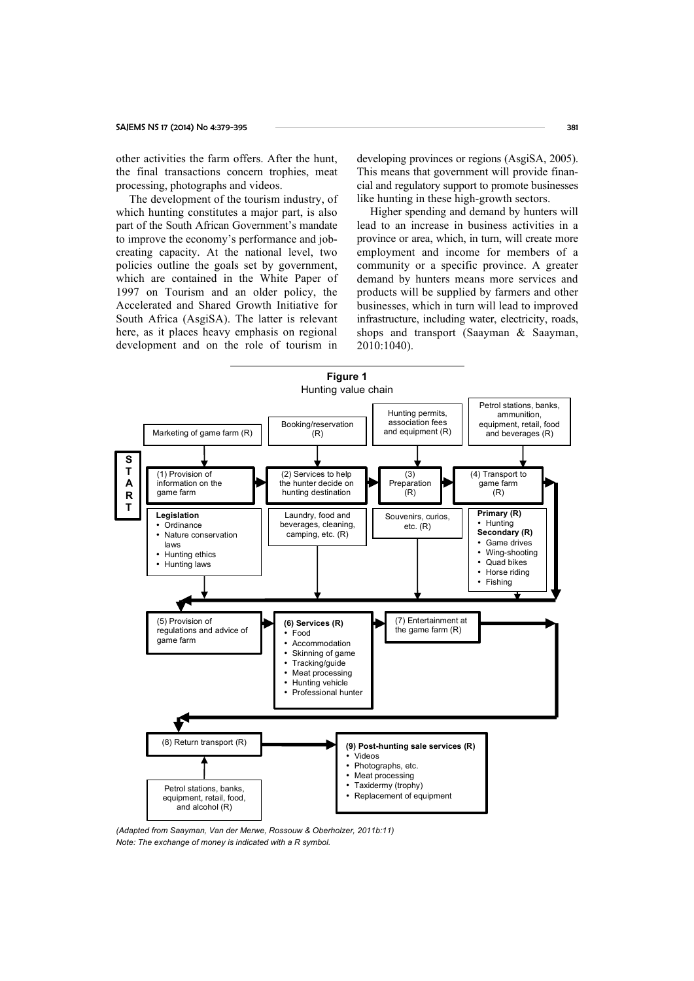other activities the farm offers. After the hunt, the final transactions concern trophies, meat processing, photographs and videos.

The development of the tourism industry, of which hunting constitutes a major part, is also part of the South African Government's mandate to improve the economy's performance and jobcreating capacity. At the national level, two policies outline the goals set by government, which are contained in the White Paper of 1997 on Tourism and an older policy, the Accelerated and Shared Growth Initiative for South Africa (AsgiSA). The latter is relevant here, as it places heavy emphasis on regional development and on the role of tourism in

developing provinces or regions (AsgiSA, 2005). This means that government will provide financial and regulatory support to promote businesses like hunting in these high-growth sectors.

Higher spending and demand by hunters will lead to an increase in business activities in a province or area, which, in turn, will create more employment and income for members of a community or a specific province. A greater demand by hunters means more services and products will be supplied by farmers and other businesses, which in turn will lead to improved infrastructure, including water, electricity, roads, shops and transport (Saayman & Saayman, 2010:1040).



*(Adapted from Saayman, Van der Merwe, Rossouw & Oberholzer, 2011b:11) Note: The exchange of money is indicated with a R symbol.*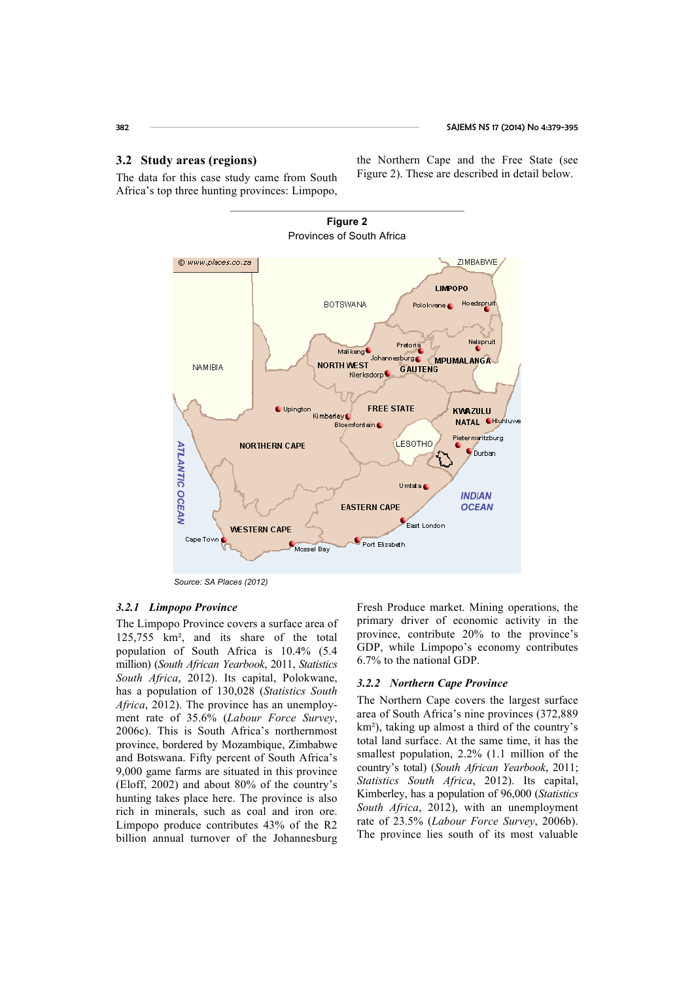### **3.2 Study areas (regions)**

The data for this case study came from South Africa's top three hunting provinces: Limpopo, the Northern Cape and the Free State (see Figure 2). These are described in detail below.



*Source: SA Places (2012)*

#### *3.2.1 Limpopo Province*

The Limpopo Province covers a surface area of 125,755 km², and its share of the total population of South Africa is 10.4% (5.4 million) (*South African Yearbook*, 2011, *Statistics South Africa*, 2012). Its capital, Polokwane, has a population of 130,028 (*Statistics South Africa*, 2012). The province has an unemployment rate of 35.6% (*Labour Force Survey*, 2006c). This is South Africa's northernmost province, bordered by Mozambique, Zimbabwe and Botswana. Fifty percent of South Africa's 9,000 game farms are situated in this province (Eloff, 2002) and about 80% of the country's hunting takes place here. The province is also rich in minerals, such as coal and iron ore. Limpopo produce contributes 43% of the R2 billion annual turnover of the Johannesburg

Fresh Produce market. Mining operations, the primary driver of economic activity in the province, contribute 20% to the province's GDP, while Limpopo's economy contributes 6.7% to the national GDP.

#### *3.2.2 Northern Cape Province*

The Northern Cape covers the largest surface area of South Africa's nine provinces (372,889 km²), taking up almost a third of the country's total land surface. At the same time, it has the smallest population, 2.2% (1.1 million of the country's total) (*South African Yearbook*, 2011; *Statistics South Africa*, 2012). Its capital, Kimberley, has a population of 96,000 (*Statistics South Africa*, 2012), with an unemployment rate of 23.5% (*Labour Force Survey*, 2006b). The province lies south of its most valuable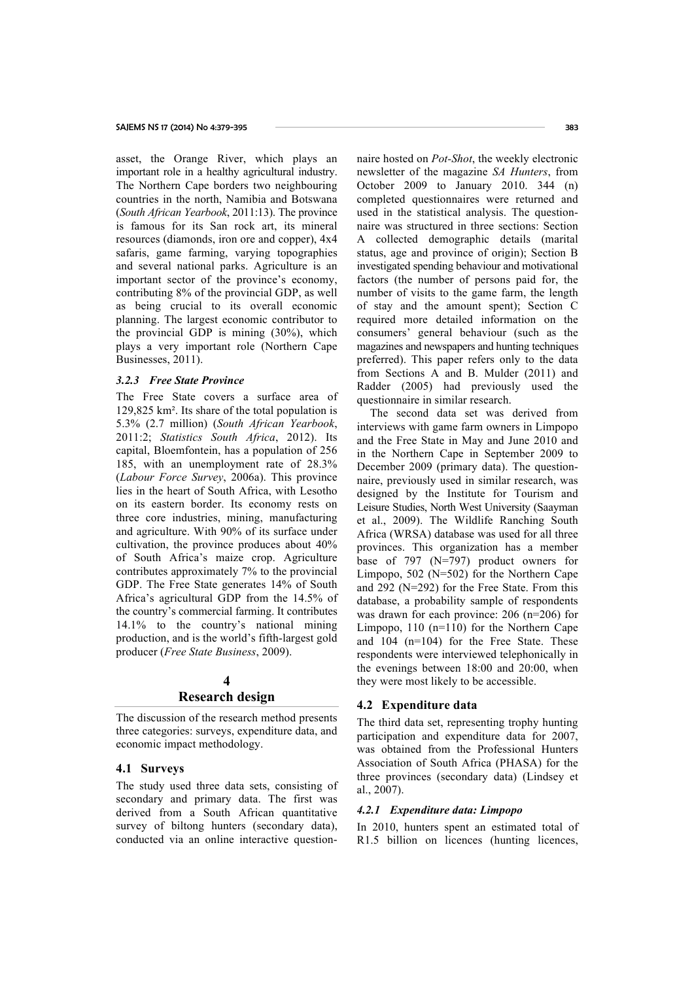#### SAJEMS NS 17 (2014) No 4:379-395 2000 2000 2000 2000 2000 2010 2010 2020 383

asset, the Orange River, which plays an important role in a healthy agricultural industry. The Northern Cape borders two neighbouring countries in the north, Namibia and Botswana (*South African Yearbook*, 2011:13). The province is famous for its San rock art, its mineral resources (diamonds, iron ore and copper), 4x4 safaris, game farming, varying topographies and several national parks. Agriculture is an important sector of the province's economy, contributing 8% of the provincial GDP, as well as being crucial to its overall economic planning. The largest economic contributor to the provincial GDP is mining (30%), which plays a very important role (Northern Cape Businesses, 2011).

#### *3.2.3 Free State Province*

The Free State covers a surface area of 129,825 km². Its share of the total population is 5.3% (2.7 million) (*South African Yearbook*, 2011:2; *Statistics South Africa*, 2012). Its capital, Bloemfontein, has a population of 256 185, with an unemployment rate of 28.3% (*Labour Force Survey*, 2006a). This province lies in the heart of South Africa, with Lesotho on its eastern border. Its economy rests on three core industries, mining, manufacturing and agriculture. With 90% of its surface under cultivation, the province produces about 40% of South Africa's maize crop. Agriculture contributes approximately 7% to the provincial GDP. The Free State generates 14% of South Africa's agricultural GDP from the 14.5% of the country's commercial farming. It contributes 14.1% to the country's national mining production, and is the world's fifth-largest gold producer (*Free State Business*, 2009).

# **4 Research design**

The discussion of the research method presents three categories: surveys, expenditure data, and economic impact methodology.

#### **4.1 Surveys**

The study used three data sets, consisting of secondary and primary data. The first was derived from a South African quantitative survey of biltong hunters (secondary data), conducted via an online interactive questionnaire hosted on *Pot-Shot*, the weekly electronic newsletter of the magazine *SA Hunters*, from October 2009 to January 2010. 344 (n) completed questionnaires were returned and used in the statistical analysis. The questionnaire was structured in three sections: Section A collected demographic details (marital status, age and province of origin); Section B investigated spending behaviour and motivational factors (the number of persons paid for, the number of visits to the game farm, the length of stay and the amount spent); Section C required more detailed information on the consumers' general behaviour (such as the magazines and newspapers and hunting techniques preferred). This paper refers only to the data from Sections A and B. Mulder (2011) and Radder (2005) had previously used the questionnaire in similar research.

The second data set was derived from interviews with game farm owners in Limpopo and the Free State in May and June 2010 and in the Northern Cape in September 2009 to December 2009 (primary data). The questionnaire, previously used in similar research, was designed by the Institute for Tourism and Leisure Studies, North West University (Saayman et al., 2009). The Wildlife Ranching South Africa (WRSA) database was used for all three provinces. This organization has a member base of 797 (N=797) product owners for Limpopo, 502 (N=502) for the Northern Cape and 292 (N=292) for the Free State. From this database, a probability sample of respondents was drawn for each province: 206 (n=206) for Limpopo, 110 (n=110) for the Northern Cape and 104 (n=104) for the Free State. These respondents were interviewed telephonically in the evenings between 18:00 and 20:00, when they were most likely to be accessible.

#### **4.2 Expenditure data**

The third data set, representing trophy hunting participation and expenditure data for 2007, was obtained from the Professional Hunters Association of South Africa (PHASA) for the three provinces (secondary data) (Lindsey et al., 2007).

## *4.2.1 Expenditure data: Limpopo*

In 2010, hunters spent an estimated total of R1.5 billion on licences (hunting licences,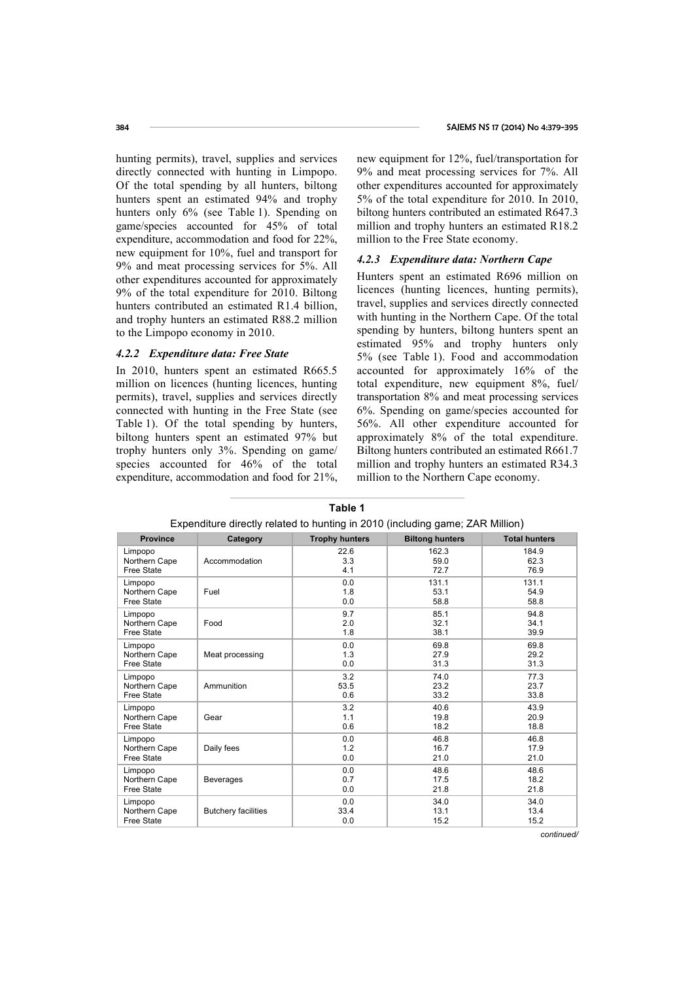hunting permits), travel, supplies and services directly connected with hunting in Limpopo. Of the total spending by all hunters, biltong hunters spent an estimated 94% and trophy hunters only 6% (see Table 1). Spending on game/species accounted for 45% of total expenditure, accommodation and food for 22%, new equipment for 10%, fuel and transport for 9% and meat processing services for 5%. All other expenditures accounted for approximately 9% of the total expenditure for 2010. Biltong hunters contributed an estimated R1.4 billion, and trophy hunters an estimated R88.2 million to the Limpopo economy in 2010.

#### *4.2.2 Expenditure data: Free State*

In 2010, hunters spent an estimated R665.5 million on licences (hunting licences, hunting permits), travel, supplies and services directly connected with hunting in the Free State (see Table 1). Of the total spending by hunters, biltong hunters spent an estimated 97% but trophy hunters only 3%. Spending on game/ species accounted for 46% of the total expenditure, accommodation and food for 21%,

new equipment for 12%, fuel/transportation for 9% and meat processing services for 7%. All other expenditures accounted for approximately 5% of the total expenditure for 2010. In 2010, biltong hunters contributed an estimated R647.3 million and trophy hunters an estimated R18.2

#### *4.2.3 Expenditure data: Northern Cape*

million to the Free State economy.

Hunters spent an estimated R696 million on licences (hunting licences, hunting permits), travel, supplies and services directly connected with hunting in the Northern Cape. Of the total spending by hunters, biltong hunters spent an estimated 95% and trophy hunters only 5% (see Table 1). Food and accommodation accounted for approximately 16% of the total expenditure, new equipment 8%, fuel/ transportation 8% and meat processing services 6%. Spending on game/species accounted for 56%. All other expenditure accounted for approximately 8% of the total expenditure. Biltong hunters contributed an estimated R661.7 million and trophy hunters an estimated R34.3 million to the Northern Cape economy.

| Experiditure directly related to hunting in 2010 (including game; ZAR Million) |                            |                       |                        |                      |  |  |
|--------------------------------------------------------------------------------|----------------------------|-----------------------|------------------------|----------------------|--|--|
| <b>Province</b>                                                                | Category                   | <b>Trophy hunters</b> | <b>Biltong hunters</b> | <b>Total hunters</b> |  |  |
| Limpopo                                                                        | Accommodation              | 22.6                  | 162.3                  | 184.9                |  |  |
| Northern Cape                                                                  |                            | 3.3                   | 59.0                   | 62.3                 |  |  |
| Free State                                                                     |                            | 4.1                   | 72.7                   | 76.9                 |  |  |
| Limpopo                                                                        | Fuel                       | 0.0                   | 131.1                  | 131.1                |  |  |
| Northern Cape                                                                  |                            | 1.8                   | 53.1                   | 54.9                 |  |  |
| Free State                                                                     |                            | 0.0                   | 58.8                   | 58.8                 |  |  |
| Limpopo                                                                        | Food                       | 9.7                   | 85.1                   | 94.8                 |  |  |
| Northern Cape                                                                  |                            | 2.0                   | 32.1                   | 34.1                 |  |  |
| Free State                                                                     |                            | 1.8                   | 38.1                   | 39.9                 |  |  |
| Limpopo                                                                        | Meat processing            | 0.0                   | 69.8                   | 69.8                 |  |  |
| Northern Cape                                                                  |                            | 1.3                   | 27.9                   | 29.2                 |  |  |
| Free State                                                                     |                            | 0.0                   | 31.3                   | 31.3                 |  |  |
| Limpopo                                                                        | Ammunition                 | 3.2                   | 74.0                   | 77.3                 |  |  |
| Northern Cape                                                                  |                            | 53.5                  | 23.2                   | 23.7                 |  |  |
| Free State                                                                     |                            | 0.6                   | 33.2                   | 33.8                 |  |  |
| Limpopo                                                                        | Gear                       | 3.2                   | 40.6                   | 43.9                 |  |  |
| Northern Cape                                                                  |                            | 1.1                   | 19.8                   | 20.9                 |  |  |
| Free State                                                                     |                            | 0.6                   | 18.2                   | 18.8                 |  |  |
| Limpopo                                                                        | Daily fees                 | 0.0                   | 46.8                   | 46.8                 |  |  |
| Northern Cape                                                                  |                            | 1.2                   | 16.7                   | 17.9                 |  |  |
| Free State                                                                     |                            | 0.0                   | 21.0                   | 21.0                 |  |  |
| Limpopo                                                                        | <b>Beverages</b>           | 0.0                   | 48.6                   | 48.6                 |  |  |
| Northern Cape                                                                  |                            | 0.7                   | 17.5                   | 18.2                 |  |  |
| Free State                                                                     |                            | 0.0                   | 21.8                   | 21.8                 |  |  |
| Limpopo                                                                        | <b>Butchery facilities</b> | 0.0                   | 34.0                   | 34.0                 |  |  |
| Northern Cape                                                                  |                            | 33.4                  | 13.1                   | 13.4                 |  |  |
| Free State                                                                     |                            | 0.0                   | 15.2                   | 15.2                 |  |  |

| Table 1 |                                                                               |
|---------|-------------------------------------------------------------------------------|
|         | Expenditure directly related to hunting in 2010 (including game; ZAR Million) |

*continued/*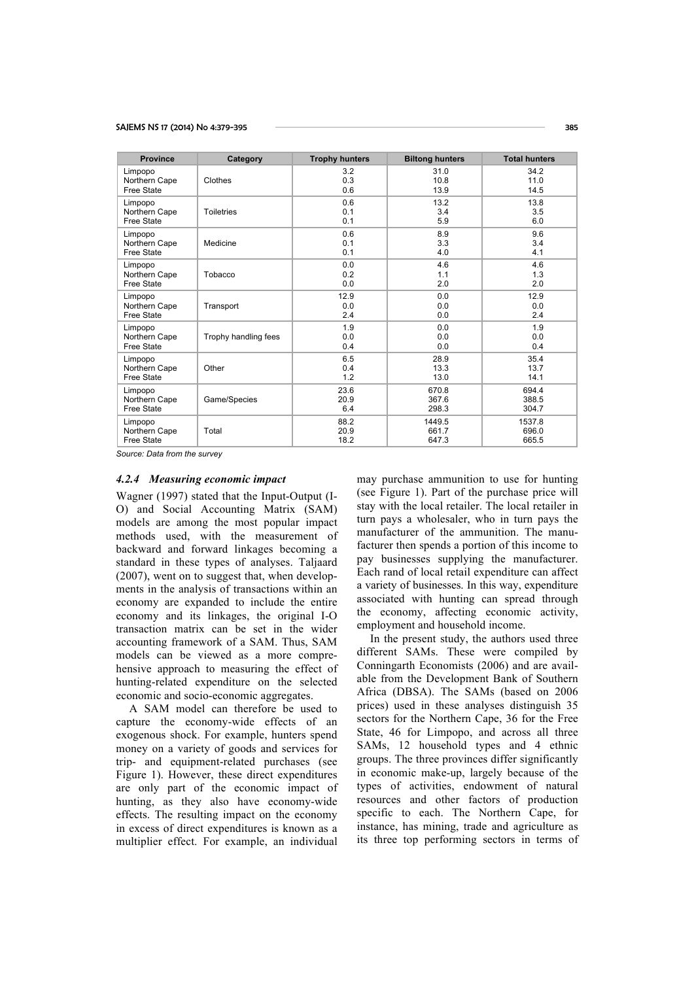| <b>Province</b> | Category             | <b>Trophy hunters</b> | <b>Biltong hunters</b> | <b>Total hunters</b> |
|-----------------|----------------------|-----------------------|------------------------|----------------------|
| Limpopo         | Clothes              | 3.2                   | 31.0                   | 34.2                 |
| Northern Cape   |                      | 0.3                   | 10.8                   | 11.0                 |
| Free State      |                      | 0.6                   | 13.9                   | 14.5                 |
| Limpopo         | <b>Toiletries</b>    | 0.6                   | 13.2                   | 13.8                 |
| Northern Cape   |                      | 0.1                   | 3.4                    | 3.5                  |
| Free State      |                      | 0.1                   | 5.9                    | 6.0                  |
| Limpopo         | Medicine             | 0.6                   | 8.9                    | 9.6                  |
| Northern Cape   |                      | 0.1                   | 3.3                    | 3.4                  |
| Free State      |                      | 0.1                   | 4.0                    | 4.1                  |
| Limpopo         | Tobacco              | 0.0                   | 4.6                    | 4.6                  |
| Northern Cape   |                      | 0.2                   | 1.1                    | 1.3                  |
| Free State      |                      | 0.0                   | 2.0                    | 2.0                  |
| Limpopo         | Transport            | 12.9                  | 0.0                    | 12.9                 |
| Northern Cape   |                      | 0.0                   | 0.0                    | 0.0                  |
| Free State      |                      | 2.4                   | 0.0                    | 2.4                  |
| Limpopo         | Trophy handling fees | 1.9                   | 0.0                    | 1.9                  |
| Northern Cape   |                      | 0.0                   | 0.0                    | 0.0                  |
| Free State      |                      | 0.4                   | 0.0                    | 0.4                  |
| Limpopo         | Other                | 6.5                   | 28.9                   | 35.4                 |
| Northern Cape   |                      | 0.4                   | 13.3                   | 13.7                 |
| Free State      |                      | 1.2                   | 13.0                   | 14.1                 |
| Limpopo         | Game/Species         | 23.6                  | 670.8                  | 694.4                |
| Northern Cape   |                      | 20.9                  | 367.6                  | 388.5                |
| Free State      |                      | 6.4                   | 298.3                  | 304.7                |
| Limpopo         | Total                | 88.2                  | 1449.5                 | 1537.8               |
| Northern Cape   |                      | 20.9                  | 661.7                  | 696.0                |
| Free State      |                      | 18.2                  | 647.3                  | 665.5                |

*Source: Data from the survey*

#### *4.2.4 Measuring economic impact*

Wagner (1997) stated that the Input-Output (I-O) and Social Accounting Matrix (SAM) models are among the most popular impact methods used, with the measurement of backward and forward linkages becoming a standard in these types of analyses. Taljaard (2007), went on to suggest that, when developments in the analysis of transactions within an economy are expanded to include the entire economy and its linkages, the original I-O transaction matrix can be set in the wider accounting framework of a SAM. Thus, SAM models can be viewed as a more comprehensive approach to measuring the effect of hunting-related expenditure on the selected economic and socio-economic aggregates.

A SAM model can therefore be used to capture the economy-wide effects of an exogenous shock. For example, hunters spend money on a variety of goods and services for trip- and equipment-related purchases (see Figure 1). However, these direct expenditures are only part of the economic impact of hunting, as they also have economy-wide effects. The resulting impact on the economy in excess of direct expenditures is known as a multiplier effect. For example, an individual may purchase ammunition to use for hunting (see Figure 1). Part of the purchase price will stay with the local retailer. The local retailer in turn pays a wholesaler, who in turn pays the manufacturer of the ammunition. The manufacturer then spends a portion of this income to pay businesses supplying the manufacturer. Each rand of local retail expenditure can affect a variety of businesses. In this way, expenditure associated with hunting can spread through the economy, affecting economic activity, employment and household income.

In the present study, the authors used three different SAMs. These were compiled by Conningarth Economists (2006) and are available from the Development Bank of Southern Africa (DBSA). The SAMs (based on 2006 prices) used in these analyses distinguish 35 sectors for the Northern Cape, 36 for the Free State, 46 for Limpopo, and across all three SAMs, 12 household types and 4 ethnic groups. The three provinces differ significantly in economic make-up, largely because of the types of activities, endowment of natural resources and other factors of production specific to each. The Northern Cape, for instance, has mining, trade and agriculture as its three top performing sectors in terms of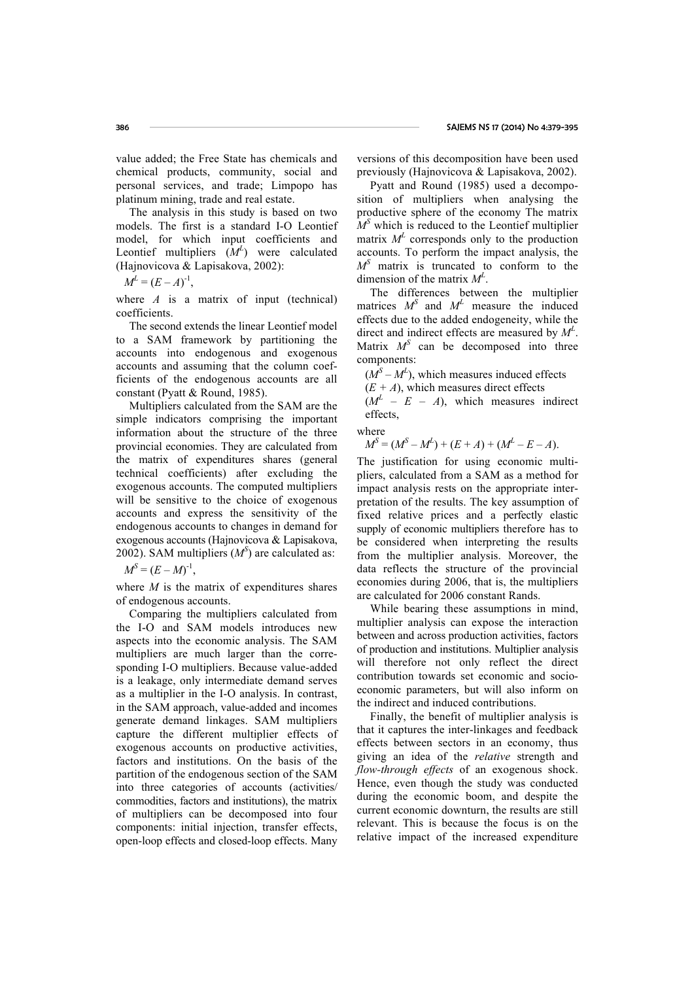value added; the Free State has chemicals and chemical products, community, social and personal services, and trade; Limpopo has platinum mining, trade and real estate.

The analysis in this study is based on two models. The first is a standard I-O Leontief model, for which input coefficients and Leontief multipliers  $(M^L)$  were calculated (Hajnovicova & Lapisakova, 2002):

 $M^L = (E - A)^{-1}$ ,

where  $A$  is a matrix of input (technical) coefficients.

The second extends the linear Leontief model to a SAM framework by partitioning the accounts into endogenous and exogenous accounts and assuming that the column coefficients of the endogenous accounts are all constant (Pyatt & Round, 1985).

Multipliers calculated from the SAM are the simple indicators comprising the important information about the structure of the three provincial economies. They are calculated from the matrix of expenditures shares (general technical coefficients) after excluding the exogenous accounts. The computed multipliers will be sensitive to the choice of exogenous accounts and express the sensitivity of the endogenous accounts to changes in demand for exogenous accounts (Hajnovicova & Lapisakova, 2002). SAM multipliers  $(M^S)$  are calculated as:  $M^{S} = (E - M)^{-1}$ ,

where *M* is the matrix of expenditures shares of endogenous accounts.

Comparing the multipliers calculated from the I-O and SAM models introduces new aspects into the economic analysis. The SAM multipliers are much larger than the corresponding I-O multipliers. Because value-added is a leakage, only intermediate demand serves as a multiplier in the I-O analysis. In contrast, in the SAM approach, value-added and incomes generate demand linkages. SAM multipliers capture the different multiplier effects of exogenous accounts on productive activities, factors and institutions. On the basis of the partition of the endogenous section of the SAM into three categories of accounts (activities/ commodities, factors and institutions), the matrix of multipliers can be decomposed into four components: initial injection, transfer effects, open-loop effects and closed-loop effects. Many versions of this decomposition have been used previously (Hajnovicova & Lapisakova, 2002).

Pyatt and Round (1985) used a decomposition of multipliers when analysing the productive sphere of the economy The matrix  $M<sup>S</sup>$  which is reduced to the Leontief multiplier matrix  $M<sup>L</sup>$  corresponds only to the production accounts. To perform the impact analysis, the *M<sup>S</sup>* matrix is truncated to conform to the dimension of the matrix *M<sup>L</sup>* .

The differences between the multiplier matrices  $M^S$  and  $M^L$  measure the induced effects due to the added endogeneity, while the direct and indirect effects are measured by *M<sup>L</sup>* . Matrix  $M^S$  can be decomposed into three components:

 $(M^S - M^L)$ , which measures induced effects  $(E + A)$ , which measures direct effects

 $(M<sup>L</sup> - E - A)$ , which measures indirect effects,

where

 $M^{S} = (M^{S} - M^{L}) + (E + A) + (M^{L} - E - A).$ 

The justification for using economic multipliers, calculated from a SAM as a method for impact analysis rests on the appropriate interpretation of the results. The key assumption of fixed relative prices and a perfectly elastic supply of economic multipliers therefore has to be considered when interpreting the results from the multiplier analysis. Moreover, the data reflects the structure of the provincial economies during 2006, that is, the multipliers are calculated for 2006 constant Rands.

While bearing these assumptions in mind, multiplier analysis can expose the interaction between and across production activities, factors of production and institutions. Multiplier analysis will therefore not only reflect the direct contribution towards set economic and socioeconomic parameters, but will also inform on the indirect and induced contributions.

Finally, the benefit of multiplier analysis is that it captures the inter-linkages and feedback effects between sectors in an economy, thus giving an idea of the *relative* strength and *flow-through effects* of an exogenous shock. Hence, even though the study was conducted during the economic boom, and despite the current economic downturn, the results are still relevant. This is because the focus is on the relative impact of the increased expenditure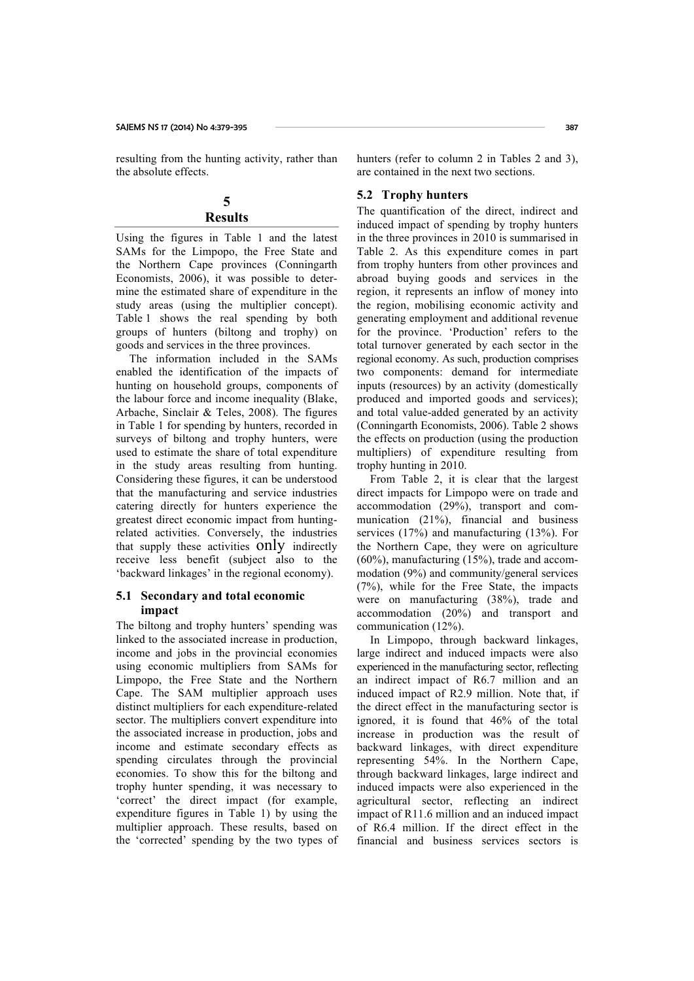resulting from the hunting activity, rather than the absolute effects.

## **5 Results**

Using the figures in Table 1 and the latest SAMs for the Limpopo, the Free State and the Northern Cape provinces (Conningarth Economists, 2006), it was possible to determine the estimated share of expenditure in the study areas (using the multiplier concept). Table 1 shows the real spending by both groups of hunters (biltong and trophy) on goods and services in the three provinces.

The information included in the SAMs enabled the identification of the impacts of hunting on household groups, components of the labour force and income inequality (Blake, Arbache, Sinclair & Teles, 2008). The figures in Table 1 for spending by hunters, recorded in surveys of biltong and trophy hunters, were used to estimate the share of total expenditure in the study areas resulting from hunting. Considering these figures, it can be understood that the manufacturing and service industries catering directly for hunters experience the greatest direct economic impact from huntingrelated activities. Conversely, the industries that supply these activities only indirectly receive less benefit (subject also to the 'backward linkages' in the regional economy).

## **5.1 Secondary and total economic impact**

The biltong and trophy hunters' spending was linked to the associated increase in production, income and jobs in the provincial economies using economic multipliers from SAMs for Limpopo, the Free State and the Northern Cape. The SAM multiplier approach uses distinct multipliers for each expenditure-related sector. The multipliers convert expenditure into the associated increase in production, jobs and income and estimate secondary effects as spending circulates through the provincial economies. To show this for the biltong and trophy hunter spending, it was necessary to 'correct' the direct impact (for example, expenditure figures in Table 1) by using the multiplier approach. These results, based on the 'corrected' spending by the two types of hunters (refer to column 2 in Tables 2 and 3), are contained in the next two sections.

## **5.2 Trophy hunters**

The quantification of the direct, indirect and induced impact of spending by trophy hunters in the three provinces in 2010 is summarised in Table 2. As this expenditure comes in part from trophy hunters from other provinces and abroad buying goods and services in the region, it represents an inflow of money into the region, mobilising economic activity and generating employment and additional revenue for the province. 'Production' refers to the total turnover generated by each sector in the regional economy. As such, production comprises two components: demand for intermediate inputs (resources) by an activity (domestically produced and imported goods and services); and total value-added generated by an activity (Conningarth Economists, 2006). Table 2 shows the effects on production (using the production multipliers) of expenditure resulting from trophy hunting in 2010.

From Table 2, it is clear that the largest direct impacts for Limpopo were on trade and accommodation (29%), transport and communication (21%), financial and business services (17%) and manufacturing (13%). For the Northern Cape, they were on agriculture  $(60\%)$ , manufacturing  $(15\%)$ , trade and accommodation (9%) and community/general services (7%), while for the Free State, the impacts were on manufacturing (38%), trade and accommodation (20%) and transport and communication (12%).

In Limpopo, through backward linkages, large indirect and induced impacts were also experienced in the manufacturing sector, reflecting an indirect impact of R6.7 million and an induced impact of R2.9 million. Note that, if the direct effect in the manufacturing sector is ignored, it is found that 46% of the total increase in production was the result of backward linkages, with direct expenditure representing 54%. In the Northern Cape, through backward linkages, large indirect and induced impacts were also experienced in the agricultural sector, reflecting an indirect impact of R11.6 million and an induced impact of R6.4 million. If the direct effect in the financial and business services sectors is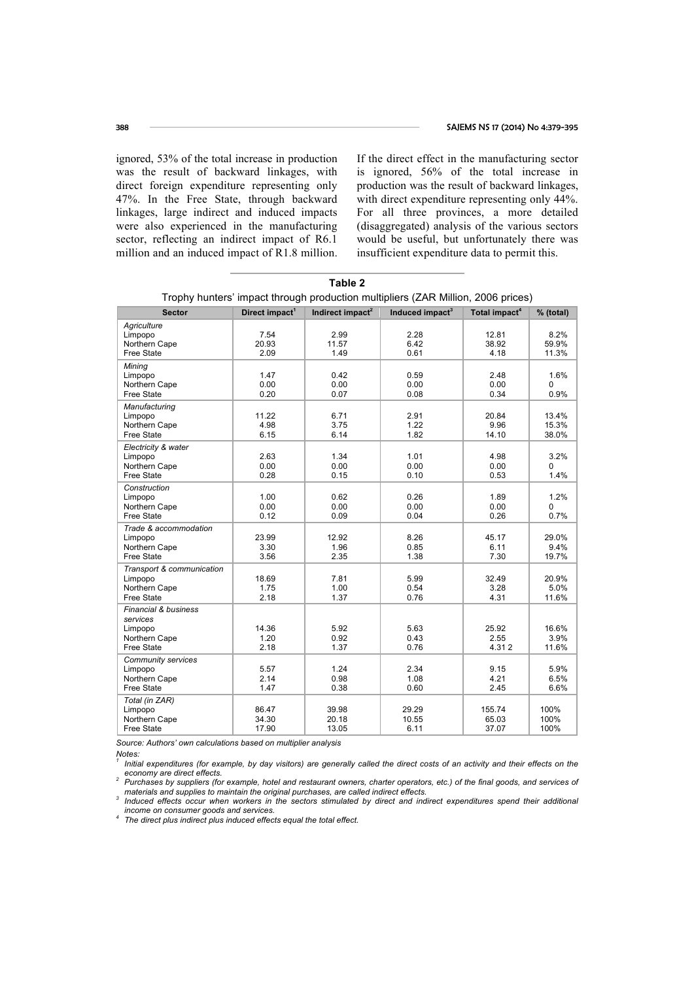ignored, 53% of the total increase in production was the result of backward linkages, with direct foreign expenditure representing only 47%. In the Free State, through backward linkages, large indirect and induced impacts were also experienced in the manufacturing sector, reflecting an indirect impact of R6.1 million and an induced impact of R1.8 million.

If the direct effect in the manufacturing sector is ignored, 56% of the total increase in production was the result of backward linkages, with direct expenditure representing only  $44\%$ . For all three provinces, a more detailed (disaggregated) analysis of the various sectors would be useful, but unfortunately there was insufficient expenditure data to permit this.

| Table 2                                                                               |                            |                              |                             |                           |                         |  |
|---------------------------------------------------------------------------------------|----------------------------|------------------------------|-----------------------------|---------------------------|-------------------------|--|
| Trophy hunters' impact through production multipliers (ZAR Million, 2006 prices)      |                            |                              |                             |                           |                         |  |
| <b>Sector</b>                                                                         | Direct impact <sup>1</sup> | Indirect impact <sup>2</sup> | Induced impact <sup>3</sup> | Total impact <sup>4</sup> | % (total)               |  |
| Agriculture<br>Limpopo<br>Northern Cape<br>Free State                                 | 7.54<br>20.93<br>2.09      | 2.99<br>11.57<br>1.49        | 2.28<br>6.42<br>0.61        | 12.81<br>38.92<br>4.18    | 8.2%<br>59.9%<br>11.3%  |  |
| Mining<br>Limpopo<br>Northern Cape<br>Free State                                      | 1.47<br>0.00<br>0.20       | 0.42<br>0.00<br>0.07         | 0.59<br>0.00<br>0.08        | 2.48<br>0.00<br>0.34      | 1.6%<br>0<br>0.9%       |  |
| Manufacturing<br>Limpopo<br>Northern Cape<br>Free State                               | 11.22<br>4.98<br>6.15      | 6.71<br>3.75<br>6.14         | 2.91<br>1.22<br>1.82        | 20.84<br>9.96<br>14.10    | 13.4%<br>15.3%<br>38.0% |  |
| Electricity & water<br>Limpopo<br>Northern Cape<br>Free State                         | 2.63<br>0.00<br>0.28       | 1.34<br>0.00<br>0.15         | 1.01<br>0.00<br>0.10        | 4.98<br>0.00<br>0.53      | 3.2%<br>0<br>1.4%       |  |
| Construction<br>Limpopo<br>Northern Cape<br>Free State                                | 1.00<br>0.00<br>0.12       | 0.62<br>0.00<br>0.09         | 0.26<br>0.00<br>0.04        | 1.89<br>0.00<br>0.26      | 1.2%<br>0<br>0.7%       |  |
| Trade & accommodation<br>Limpopo<br>Northern Cape<br>Free State                       | 23.99<br>3.30<br>3.56      | 12.92<br>1.96<br>2.35        | 8.26<br>0.85<br>1.38        | 45.17<br>6.11<br>7.30     | 29.0%<br>9.4%<br>19.7%  |  |
| Transport & communication<br>Limpopo<br>Northern Cape<br>Free State                   | 18.69<br>1.75<br>2.18      | 7.81<br>1.00<br>1.37         | 5.99<br>0.54<br>0.76        | 32.49<br>3.28<br>4.31     | 20.9%<br>5.0%<br>11.6%  |  |
| <b>Financial &amp; business</b><br>services<br>Limpopo<br>Northern Cape<br>Free State | 14.36<br>1.20<br>2.18      | 5.92<br>0.92<br>1.37         | 5.63<br>0.43<br>0.76        | 25.92<br>2.55<br>4.312    | 16.6%<br>3.9%<br>11.6%  |  |
| Community services<br>Limpopo<br>Northern Cape<br>Free State                          | 5.57<br>2.14<br>1.47       | 1.24<br>0.98<br>0.38         | 2.34<br>1.08<br>0.60        | 9.15<br>4.21<br>2.45      | 5.9%<br>6.5%<br>6.6%    |  |
| Total (in ZAR)<br>Limpopo<br>Northern Cape<br>Free State                              | 86.47<br>34.30<br>17.90    | 39.98<br>20.18<br>13.05      | 29.29<br>10.55<br>6.11      | 155.74<br>65.03<br>37.07  | 100%<br>100%<br>100%    |  |

*Source: Authors' own calculations based on multiplier analysis*

*Notes:*

*<sup>1</sup> Initial expenditures (for example, by day visitors) are generally called the direct costs of an activity and their effects on the* 

*economy are direct effects. <sup>2</sup> Purchases by suppliers (for example, hotel and restaurant owners, charter operators, etc.) of the final goods, and services of* 

naterials and supplies to maintain the original purchases, are called indirect effects.<br>3 Induced effects occur when workers in the sectors stimulated by direct and indirect expenditures spend their additional<br>income on co

*income on consumer goods and services. <sup>4</sup> The direct plus indirect plus induced effects equal the total effect.*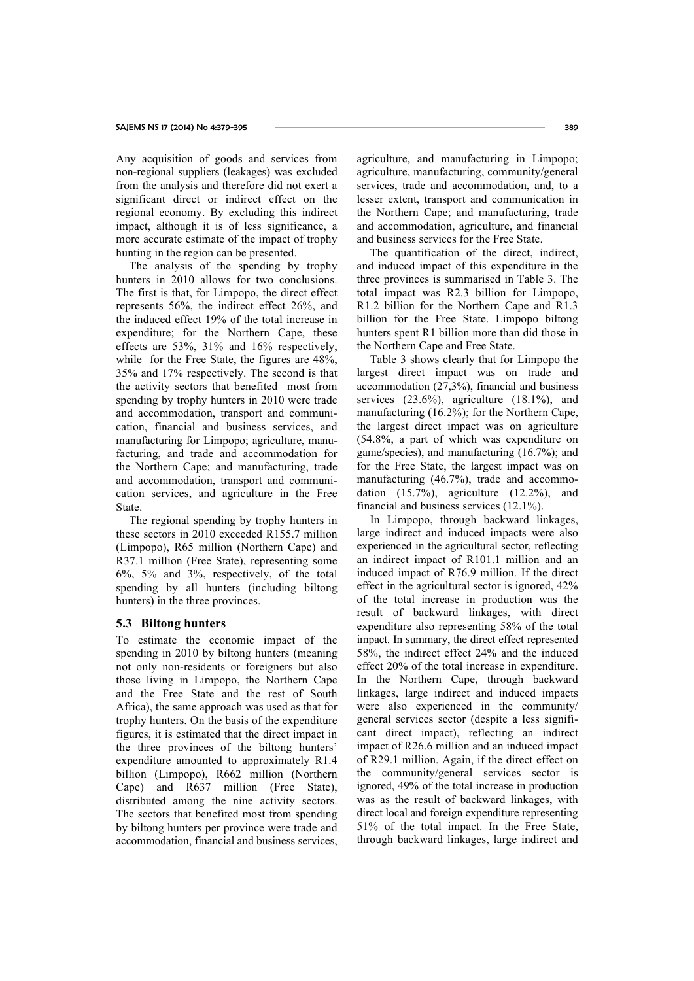Any acquisition of goods and services from non-regional suppliers (leakages) was excluded from the analysis and therefore did not exert a significant direct or indirect effect on the regional economy. By excluding this indirect impact, although it is of less significance, a more accurate estimate of the impact of trophy hunting in the region can be presented.

The analysis of the spending by trophy hunters in 2010 allows for two conclusions. The first is that, for Limpopo, the direct effect represents 56%, the indirect effect 26%, and the induced effect 19% of the total increase in expenditure; for the Northern Cape, these effects are 53%, 31% and 16% respectively, while for the Free State, the figures are 48%, 35% and 17% respectively. The second is that the activity sectors that benefited most from spending by trophy hunters in 2010 were trade and accommodation, transport and communication, financial and business services, and manufacturing for Limpopo; agriculture, manufacturing, and trade and accommodation for the Northern Cape; and manufacturing, trade and accommodation, transport and communication services, and agriculture in the Free State.

The regional spending by trophy hunters in these sectors in 2010 exceeded R155.7 million (Limpopo), R65 million (Northern Cape) and R37.1 million (Free State), representing some 6%, 5% and 3%, respectively, of the total spending by all hunters (including biltong hunters) in the three provinces.

### **5.3 Biltong hunters**

To estimate the economic impact of the spending in 2010 by biltong hunters (meaning not only non-residents or foreigners but also those living in Limpopo, the Northern Cape and the Free State and the rest of South Africa), the same approach was used as that for trophy hunters. On the basis of the expenditure figures, it is estimated that the direct impact in the three provinces of the biltong hunters' expenditure amounted to approximately R1.4 billion (Limpopo), R662 million (Northern Cape) and R637 million (Free State), distributed among the nine activity sectors. The sectors that benefited most from spending by biltong hunters per province were trade and accommodation, financial and business services,

agriculture, and manufacturing in Limpopo; agriculture, manufacturing, community/general services, trade and accommodation, and, to a lesser extent, transport and communication in the Northern Cape; and manufacturing, trade and accommodation, agriculture, and financial and business services for the Free State.

The quantification of the direct, indirect, and induced impact of this expenditure in the three provinces is summarised in Table 3. The total impact was R2.3 billion for Limpopo, R1.2 billion for the Northern Cape and R1.3 billion for the Free State. Limpopo biltong hunters spent R1 billion more than did those in the Northern Cape and Free State.

Table 3 shows clearly that for Limpopo the largest direct impact was on trade and accommodation (27,3%), financial and business services (23.6%), agriculture (18.1%), and manufacturing (16.2%); for the Northern Cape, the largest direct impact was on agriculture (54.8%, a part of which was expenditure on game/species), and manufacturing (16.7%); and for the Free State, the largest impact was on manufacturing (46.7%), trade and accommodation (15.7%), agriculture (12.2%), and financial and business services (12.1%).

In Limpopo, through backward linkages, large indirect and induced impacts were also experienced in the agricultural sector, reflecting an indirect impact of R101.1 million and an induced impact of R76.9 million. If the direct effect in the agricultural sector is ignored, 42% of the total increase in production was the result of backward linkages, with direct expenditure also representing 58% of the total impact. In summary, the direct effect represented 58%, the indirect effect 24% and the induced effect 20% of the total increase in expenditure. In the Northern Cape, through backward linkages, large indirect and induced impacts were also experienced in the community/ general services sector (despite a less significant direct impact), reflecting an indirect impact of R26.6 million and an induced impact of R29.1 million. Again, if the direct effect on the community/general services sector is ignored, 49% of the total increase in production was as the result of backward linkages, with direct local and foreign expenditure representing 51% of the total impact. In the Free State, through backward linkages, large indirect and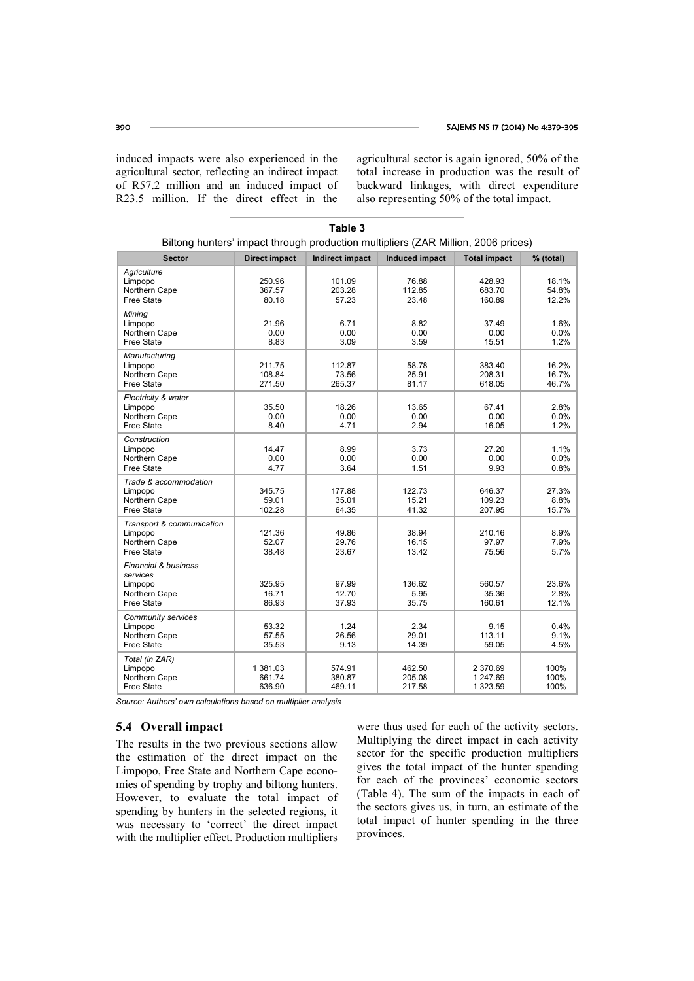induced impacts were also experienced in the agricultural sector, reflecting an indirect impact of R57.2 million and an induced impact of R23.5 million. If the direct effect in the

agricultural sector is again ignored, 50% of the total increase in production was the result of backward linkages, with direct expenditure also representing 50% of the total impact.

| Biltong hunters' impact through production multipliers (ZAR Million, 2006 prices)     |                              |                            |                            |                                  |                         |
|---------------------------------------------------------------------------------------|------------------------------|----------------------------|----------------------------|----------------------------------|-------------------------|
| <b>Sector</b>                                                                         | <b>Direct impact</b>         | <b>Indirect impact</b>     | Induced impact             | <b>Total impact</b>              | % (total)               |
| Agriculture<br>Limpopo<br>Northern Cape<br>Free State                                 | 250.96<br>367.57<br>80.18    | 101.09<br>203.28<br>57.23  | 76.88<br>112.85<br>23.48   | 428.93<br>683.70<br>160.89       | 18.1%<br>54.8%<br>12.2% |
| Mining<br>Limpopo<br>Northern Cape<br>Free State                                      | 21.96<br>0.00<br>8.83        | 6.71<br>0.00<br>3.09       | 8.82<br>0.00<br>3.59       | 37.49<br>0.00<br>15.51           | 1.6%<br>0.0%<br>1.2%    |
| Manufacturing<br>Limpopo<br>Northern Cape<br>Free State                               | 211.75<br>108.84<br>271.50   | 112.87<br>73.56<br>265.37  | 58.78<br>25.91<br>81.17    | 383.40<br>208.31<br>618.05       | 16.2%<br>16.7%<br>46.7% |
| Electricity & water<br>Limpopo<br>Northern Cape<br>Free State                         | 35.50<br>0.00<br>8.40        | 18.26<br>0.00<br>4.71      | 13.65<br>0.00<br>2.94      | 67.41<br>0.00<br>16.05           | 2.8%<br>0.0%<br>1.2%    |
| Construction<br>Limpopo<br>Northern Cape<br>Free State                                | 14.47<br>0.00<br>4.77        | 8.99<br>0.00<br>3.64       | 3.73<br>0.00<br>1.51       | 27.20<br>0.00<br>9.93            | 1.1%<br>0.0%<br>0.8%    |
| Trade & accommodation<br>Limpopo<br>Northern Cape<br>Free State                       | 345.75<br>59.01<br>102.28    | 177.88<br>35.01<br>64.35   | 122.73<br>15.21<br>41.32   | 646.37<br>109.23<br>207.95       | 27.3%<br>8.8%<br>15.7%  |
| Transport & communication<br>Limpopo<br>Northern Cape<br><b>Free State</b>            | 121.36<br>52.07<br>38.48     | 49.86<br>29.76<br>23.67    | 38.94<br>16.15<br>13.42    | 210.16<br>97.97<br>75.56         | 8.9%<br>7.9%<br>5.7%    |
| <b>Financial &amp; business</b><br>services<br>Limpopo<br>Northern Cape<br>Free State | 325.95<br>16.71<br>86.93     | 97.99<br>12.70<br>37.93    | 136.62<br>5.95<br>35.75    | 560.57<br>35.36<br>160.61        | 23.6%<br>2.8%<br>12.1%  |
| Community services<br>Limpopo<br>Northern Cape<br>Free State                          | 53.32<br>57.55<br>35.53      | 1.24<br>26.56<br>9.13      | 2.34<br>29.01<br>14.39     | 9.15<br>113.11<br>59.05          | 0.4%<br>9.1%<br>4.5%    |
| Total (in ZAR)<br>Limpopo<br>Northern Cape<br><b>Free State</b>                       | 1 381.03<br>661.74<br>636.90 | 574.91<br>380.87<br>469.11 | 462.50<br>205.08<br>217.58 | 2 370.69<br>1 247.69<br>1 323.59 | 100%<br>100%<br>100%    |

| Table 3                                                                           |
|-----------------------------------------------------------------------------------|
| Biltong hunters' impact through production multipliers (ZAR Million, 2006 prices) |

*Source: Authors' own calculations based on multiplier analysis*

## **5.4 Overall impact**

The results in the two previous sections allow the estimation of the direct impact on the Limpopo, Free State and Northern Cape economies of spending by trophy and biltong hunters. However, to evaluate the total impact of spending by hunters in the selected regions, it was necessary to 'correct' the direct impact with the multiplier effect. Production multipliers

were thus used for each of the activity sectors. Multiplying the direct impact in each activity sector for the specific production multipliers gives the total impact of the hunter spending for each of the provinces' economic sectors (Table 4). The sum of the impacts in each of the sectors gives us, in turn, an estimate of the total impact of hunter spending in the three provinces.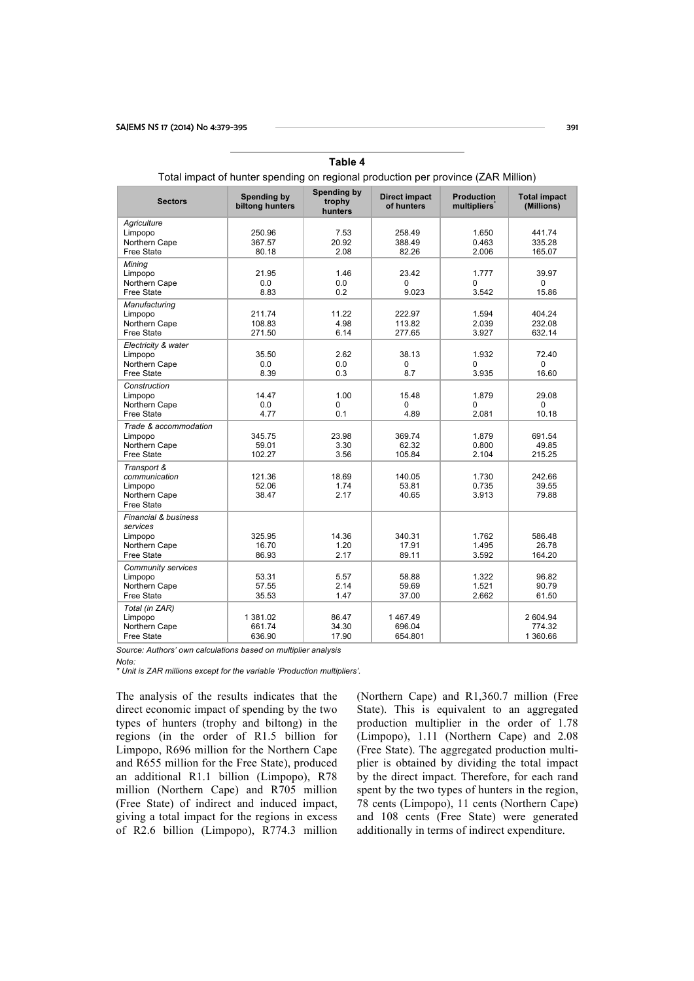#### SAJEMS NS 17 (2014) No 4:379-395 **391 - The Contract of Australian Contract of Australian Contract of Australia**

| roldi impact or nanter spenanty on regional production per province (27 trx million)  |                                       |                                         |                                    |                                               |                                   |  |
|---------------------------------------------------------------------------------------|---------------------------------------|-----------------------------------------|------------------------------------|-----------------------------------------------|-----------------------------------|--|
| <b>Sectors</b>                                                                        | <b>Spending by</b><br>biltong hunters | <b>Spending by</b><br>trophy<br>hunters | <b>Direct impact</b><br>of hunters | <b>Production</b><br>multipliers <sup>*</sup> | <b>Total impact</b><br>(Millions) |  |
| Agriculture<br>Limpopo<br>Northern Cape<br>Free State                                 | 250.96<br>367.57<br>80.18             | 7.53<br>20.92<br>2.08                   | 258.49<br>388.49<br>82.26          | 1.650<br>0.463<br>2.006                       | 441.74<br>335.28<br>165.07        |  |
| Minina<br>Limpopo<br>Northern Cape<br>Free State                                      | 21.95<br>0.0<br>8.83                  | 1.46<br>0.0<br>0.2                      | 23.42<br>$\mathbf 0$<br>9.023      | 1.777<br>0<br>3.542                           | 39.97<br>$\mathbf 0$<br>15.86     |  |
| Manufacturing<br>Limpopo<br>Northern Cape<br><b>Free State</b>                        | 211.74<br>108.83<br>271.50            | 11.22<br>4.98<br>6.14                   | 222.97<br>113.82<br>277.65         | 1.594<br>2.039<br>3.927                       | 404.24<br>232.08<br>632.14        |  |
| Electricity & water<br>Limpopo<br>Northern Cape<br>Free State                         | 35.50<br>0.0<br>8.39                  | 2.62<br>0.0<br>0.3                      | 38.13<br>$\Omega$<br>8.7           | 1.932<br>0<br>3.935                           | 72.40<br>$\Omega$<br>16.60        |  |
| Construction<br>Limpopo<br>Northern Cape<br>Free State                                | 14.47<br>0.0<br>4.77                  | 1.00<br>0<br>0.1                        | 15.48<br>$\Omega$<br>4.89          | 1.879<br>0<br>2.081                           | 29.08<br>$\mathbf 0$<br>10.18     |  |
| Trade & accommodation<br>Limpopo<br>Northern Cape<br>Free State                       | 345.75<br>59.01<br>102.27             | 23.98<br>3.30<br>3.56                   | 369.74<br>62.32<br>105.84          | 1.879<br>0.800<br>2.104                       | 691.54<br>49.85<br>215.25         |  |
| Transport &<br>communication<br>Limpopo<br>Northern Cape<br>Free State                | 121.36<br>52.06<br>38.47              | 18.69<br>1.74<br>2.17                   | 140.05<br>53.81<br>40.65           | 1.730<br>0.735<br>3.913                       | 242.66<br>39.55<br>79.88          |  |
| <b>Financial &amp; business</b><br>services<br>Limpopo<br>Northern Cape<br>Free State | 325.95<br>16.70<br>86.93              | 14.36<br>1.20<br>2.17                   | 340.31<br>17.91<br>89.11           | 1.762<br>1.495<br>3.592                       | 586.48<br>26.78<br>164.20         |  |
| Community services<br>Limpopo<br>Northern Cape<br>Free State                          | 53.31<br>57.55<br>35.53               | 5.57<br>2.14<br>1.47                    | 58.88<br>59.69<br>37.00            | 1.322<br>1.521<br>2.662                       | 96.82<br>90.79<br>61.50           |  |
| Total (in ZAR)<br>Limpopo<br>Northern Cape<br>Free State                              | 1 381.02<br>661.74<br>636.90          | 86.47<br>34.30<br>17.90                 | 1467.49<br>696.04<br>654.801       |                                               | 2 604.94<br>774.32<br>1 360.66    |  |

| Table 4                                                                           |  |  |
|-----------------------------------------------------------------------------------|--|--|
| Total impact of hunter spending on regional production per province (ZAR Million) |  |  |

*Source: Authors' own calculations based on multiplier analysis*

*Note:*

*\* Unit is ZAR millions except for the variable 'Production multipliers'.*

The analysis of the results indicates that the direct economic impact of spending by the two types of hunters (trophy and biltong) in the regions (in the order of R1.5 billion for Limpopo, R696 million for the Northern Cape and R655 million for the Free State), produced an additional R1.1 billion (Limpopo), R78 million (Northern Cape) and R705 million (Free State) of indirect and induced impact, giving a total impact for the regions in excess of R2.6 billion (Limpopo), R774.3 million

(Northern Cape) and R1,360.7 million (Free State). This is equivalent to an aggregated production multiplier in the order of 1.78 (Limpopo), 1.11 (Northern Cape) and 2.08 (Free State). The aggregated production multiplier is obtained by dividing the total impact by the direct impact. Therefore, for each rand spent by the two types of hunters in the region, 78 cents (Limpopo), 11 cents (Northern Cape) and 108 cents (Free State) were generated additionally in terms of indirect expenditure.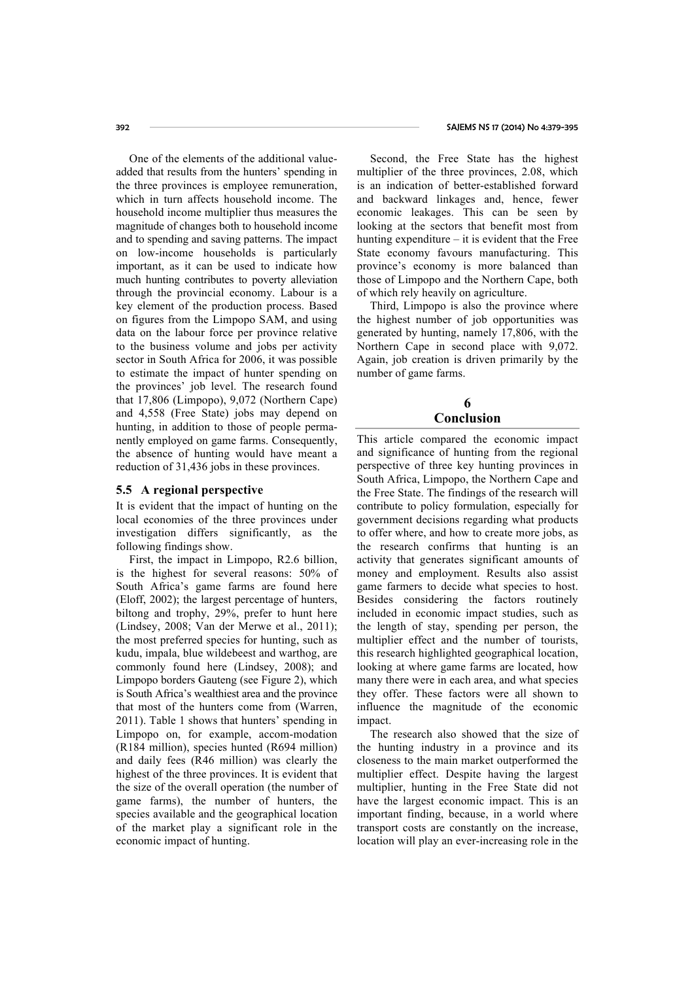One of the elements of the additional valueadded that results from the hunters' spending in the three provinces is employee remuneration, which in turn affects household income. The household income multiplier thus measures the magnitude of changes both to household income and to spending and saving patterns. The impact on low-income households is particularly important, as it can be used to indicate how much hunting contributes to poverty alleviation through the provincial economy. Labour is a key element of the production process. Based on figures from the Limpopo SAM, and using data on the labour force per province relative to the business volume and jobs per activity sector in South Africa for 2006, it was possible to estimate the impact of hunter spending on the provinces' job level. The research found that 17,806 (Limpopo), 9,072 (Northern Cape) and 4,558 (Free State) jobs may depend on hunting, in addition to those of people permanently employed on game farms. Consequently, the absence of hunting would have meant a reduction of 31,436 jobs in these provinces.

## **5.5 A regional perspective**

It is evident that the impact of hunting on the local economies of the three provinces under investigation differs significantly, as the following findings show.

First, the impact in Limpopo, R2.6 billion, is the highest for several reasons: 50% of South Africa's game farms are found here (Eloff, 2002); the largest percentage of hunters, biltong and trophy, 29%, prefer to hunt here (Lindsey, 2008; Van der Merwe et al., 2011); the most preferred species for hunting, such as kudu, impala, blue wildebeest and warthog, are commonly found here (Lindsey, 2008); and Limpopo borders Gauteng (see Figure 2), which is South Africa's wealthiest area and the province that most of the hunters come from (Warren, 2011). Table 1 shows that hunters' spending in Limpopo on, for example, accom-modation (R184 million), species hunted (R694 million) and daily fees (R46 million) was clearly the highest of the three provinces. It is evident that the size of the overall operation (the number of game farms), the number of hunters, the species available and the geographical location of the market play a significant role in the economic impact of hunting.

Second, the Free State has the highest multiplier of the three provinces, 2.08, which is an indication of better-established forward and backward linkages and, hence, fewer economic leakages. This can be seen by looking at the sectors that benefit most from hunting expenditure  $-$  it is evident that the Free State economy favours manufacturing. This province's economy is more balanced than those of Limpopo and the Northern Cape, both of which rely heavily on agriculture.

Third, Limpopo is also the province where the highest number of job opportunities was generated by hunting, namely 17,806, with the Northern Cape in second place with 9,072. Again, job creation is driven primarily by the number of game farms.

## **6 Conclusion**

This article compared the economic impact and significance of hunting from the regional perspective of three key hunting provinces in South Africa, Limpopo, the Northern Cape and the Free State. The findings of the research will contribute to policy formulation, especially for government decisions regarding what products to offer where, and how to create more jobs, as the research confirms that hunting is an activity that generates significant amounts of money and employment. Results also assist game farmers to decide what species to host. Besides considering the factors routinely included in economic impact studies, such as the length of stay, spending per person, the multiplier effect and the number of tourists, this research highlighted geographical location, looking at where game farms are located, how many there were in each area, and what species they offer. These factors were all shown to influence the magnitude of the economic impact.

The research also showed that the size of the hunting industry in a province and its closeness to the main market outperformed the multiplier effect. Despite having the largest multiplier, hunting in the Free State did not have the largest economic impact. This is an important finding, because, in a world where transport costs are constantly on the increase, location will play an ever-increasing role in the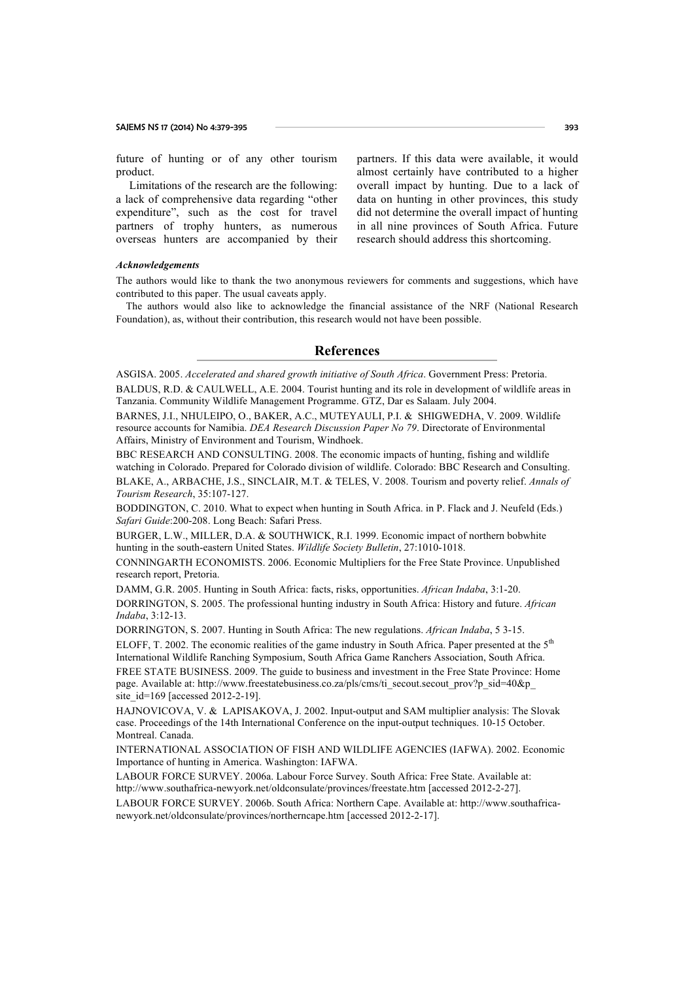future of hunting or of any other tourism product.

Limitations of the research are the following: a lack of comprehensive data regarding "other expenditure", such as the cost for travel partners of trophy hunters, as numerous overseas hunters are accompanied by their partners. If this data were available, it would almost certainly have contributed to a higher overall impact by hunting. Due to a lack of data on hunting in other provinces, this study did not determine the overall impact of hunting in all nine provinces of South Africa. Future research should address this shortcoming.

#### *Acknowledgements*

The authors would like to thank the two anonymous reviewers for comments and suggestions, which have contributed to this paper. The usual caveats apply.

The authors would also like to acknowledge the financial assistance of the NRF (National Research Foundation), as, without their contribution, this research would not have been possible.

## **References**

ASGISA. 2005. *Accelerated and shared growth initiative of South Africa*. Government Press: Pretoria. BALDUS, R.D. & CAULWELL, A.E. 2004. Tourist hunting and its role in development of wildlife areas in Tanzania. Community Wildlife Management Programme. GTZ, Dar es Salaam. July 2004.

BARNES, J.I., NHULEIPO, O., BAKER, A.C., MUTEYAULI, P.I. & SHIGWEDHA, V. 2009. Wildlife resource accounts for Namibia. *DEA Research Discussion Paper No 79*. Directorate of Environmental Affairs, Ministry of Environment and Tourism, Windhoek.

BBC RESEARCH AND CONSULTING. 2008. The economic impacts of hunting, fishing and wildlife watching in Colorado. Prepared for Colorado division of wildlife. Colorado: BBC Research and Consulting. BLAKE, A., ARBACHE, J.S., SINCLAIR, M.T. & TELES, V. 2008. Tourism and poverty relief. *Annals of Tourism Research*, 35:107-127.

BODDINGTON, C. 2010. What to expect when hunting in South Africa. in P. Flack and J. Neufeld (Eds.) *Safari Guide*:200-208. Long Beach: Safari Press.

BURGER, L.W., MILLER, D.A. & SOUTHWICK, R.I. 1999. Economic impact of northern bobwhite hunting in the south-eastern United States. *Wildlife Society Bulletin*, 27:1010-1018.

CONNINGARTH ECONOMISTS. 2006. Economic Multipliers for the Free State Province. Unpublished research report, Pretoria.

DAMM, G.R. 2005. Hunting in South Africa: facts, risks, opportunities. *African Indaba*, 3:1-20. DORRINGTON, S. 2005. The professional hunting industry in South Africa: History and future. *African Indaba*, 3:12-13.

DORRINGTON, S. 2007. Hunting in South Africa: The new regulations. *African Indaba*, 5 3-15.

ELOFF, T. 2002. The economic realities of the game industry in South Africa. Paper presented at the  $5<sup>th</sup>$ International Wildlife Ranching Symposium, South Africa Game Ranchers Association, South Africa.

FREE STATE BUSINESS. 2009. The guide to business and investment in the Free State Province: Home page. Available at: http://www.freestatebusiness.co.za/pls/cms/ti\_secout.secout\_prov?p\_sid=40&p site id=169 [accessed 2012-2-19].

HAJNOVICOVA, V. & LAPISAKOVA, J. 2002. Input-output and SAM multiplier analysis: The Slovak case. Proceedings of the 14th International Conference on the input-output techniques. 10-15 October. Montreal. Canada.

INTERNATIONAL ASSOCIATION OF FISH AND WILDLIFE AGENCIES (IAFWA). 2002. Economic Importance of hunting in America. Washington: IAFWA.

LABOUR FORCE SURVEY. 2006a. Labour Force Survey. South Africa: Free State. Available at: http://www.southafrica-newyork.net/oldconsulate/provinces/freestate.htm [accessed 2012-2-27].

LABOUR FORCE SURVEY. 2006b. South Africa: Northern Cape. Available at: http://www.southafricanewyork.net/oldconsulate/provinces/northerncape.htm [accessed 2012-2-17].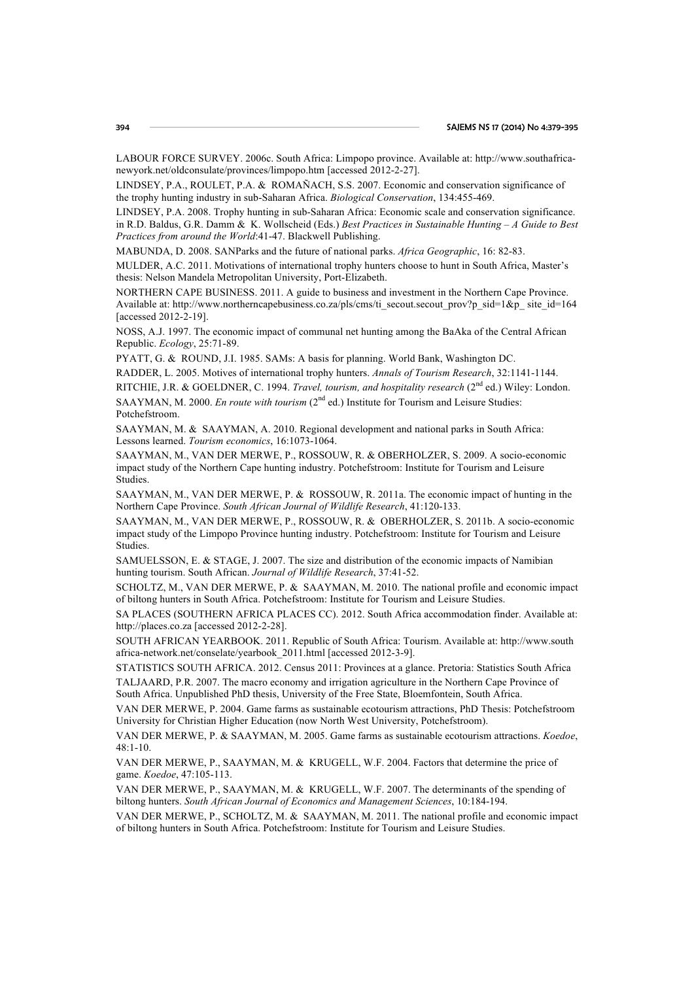LABOUR FORCE SURVEY. 2006c. South Africa: Limpopo province. Available at: http://www.southafricanewyork.net/oldconsulate/provinces/limpopo.htm [accessed 2012-2-27].

LINDSEY, P.A., ROULET, P.A. & ROMAÑACH, S.S. 2007. Economic and conservation significance of the trophy hunting industry in sub-Saharan Africa. *Biological Conservation*, 134:455-469.

LINDSEY, P.A. 2008. Trophy hunting in sub-Saharan Africa: Economic scale and conservation significance. in R.D. Baldus, G.R. Damm & K. Wollscheid (Eds.) *Best Practices in Sustainable Hunting – A Guide to Best Practices from around the World*:41-47. Blackwell Publishing.

MABUNDA, D. 2008. SANParks and the future of national parks. *Africa Geographic*, 16: 82-83.

MULDER, A.C. 2011. Motivations of international trophy hunters choose to hunt in South Africa, Master's thesis: Nelson Mandela Metropolitan University, Port-Elizabeth.

NORTHERN CAPE BUSINESS. 2011. A guide to business and investment in the Northern Cape Province. Available at: http://www.northerncapebusiness.co.za/pls/cms/ti\_secout.secout\_prov?p\_sid=1&p\_ site\_id=164 [accessed 2012-2-19].

NOSS, A.J. 1997. The economic impact of communal net hunting among the BaAka of the Central African Republic. *Ecology*, 25:71-89.

PYATT, G. & ROUND, J.I. 1985. SAMs: A basis for planning. World Bank, Washington DC.

RADDER, L. 2005. Motives of international trophy hunters. *Annals of Tourism Research*, 32:1141-1144.

RITCHIE, J.R. & GOELDNER, C. 1994. *Travel, tourism, and hospitality research* (2nd ed.) Wiley: London. SAAYMAN, M. 2000. *En route with tourism* (2<sup>nd</sup> ed.) Institute for Tourism and Leisure Studies: Potchefstroom.

SAAYMAN, M. & SAAYMAN, A. 2010. Regional development and national parks in South Africa: Lessons learned. *Tourism economics*, 16:1073-1064.

SAAYMAN, M., VAN DER MERWE, P., ROSSOUW, R. & OBERHOLZER, S. 2009. A socio-economic impact study of the Northern Cape hunting industry. Potchefstroom: Institute for Tourism and Leisure Studies.

SAAYMAN, M., VAN DER MERWE, P. & ROSSOUW, R. 2011a. The economic impact of hunting in the Northern Cape Province. *South African Journal of Wildlife Research*, 41:120-133.

SAAYMAN, M., VAN DER MERWE, P., ROSSOUW, R. & OBERHOLZER, S. 2011b. A socio-economic impact study of the Limpopo Province hunting industry. Potchefstroom: Institute for Tourism and Leisure Studies.

SAMUELSSON, E. & STAGE, J. 2007. The size and distribution of the economic impacts of Namibian hunting tourism. South African. *Journal of Wildlife Research*, 37:41-52.

SCHOLTZ, M., VAN DER MERWE, P. & SAAYMAN, M. 2010. The national profile and economic impact of biltong hunters in South Africa. Potchefstroom: Institute for Tourism and Leisure Studies.

SA PLACES (SOUTHERN AFRICA PLACES CC). 2012. South Africa accommodation finder. Available at: http://places.co.za [accessed 2012-2-28].

SOUTH AFRICAN YEARBOOK. 2011. Republic of South Africa: Tourism. Available at: http://www.south africa-network.net/conselate/yearbook\_2011.html [accessed 2012-3-9].

STATISTICS SOUTH AFRICA. 2012. Census 2011: Provinces at a glance. Pretoria: Statistics South Africa

TALJAARD, P.R. 2007. The macro economy and irrigation agriculture in the Northern Cape Province of South Africa. Unpublished PhD thesis, University of the Free State, Bloemfontein, South Africa.

VAN DER MERWE, P. 2004. Game farms as sustainable ecotourism attractions, PhD Thesis: Potchefstroom University for Christian Higher Education (now North West University, Potchefstroom).

VAN DER MERWE, P. & SAAYMAN, M. 2005. Game farms as sustainable ecotourism attractions. *Koedoe*, 48:1-10.

VAN DER MERWE, P., SAAYMAN, M. & KRUGELL, W.F. 2004. Factors that determine the price of game. *Koedoe*, 47:105-113.

VAN DER MERWE, P., SAAYMAN, M. & KRUGELL, W.F. 2007. The determinants of the spending of biltong hunters. *South African Journal of Economics and Management Sciences*, 10:184-194.

VAN DER MERWE, P., SCHOLTZ, M. & SAAYMAN, M. 2011. The national profile and economic impact of biltong hunters in South Africa. Potchefstroom: Institute for Tourism and Leisure Studies.